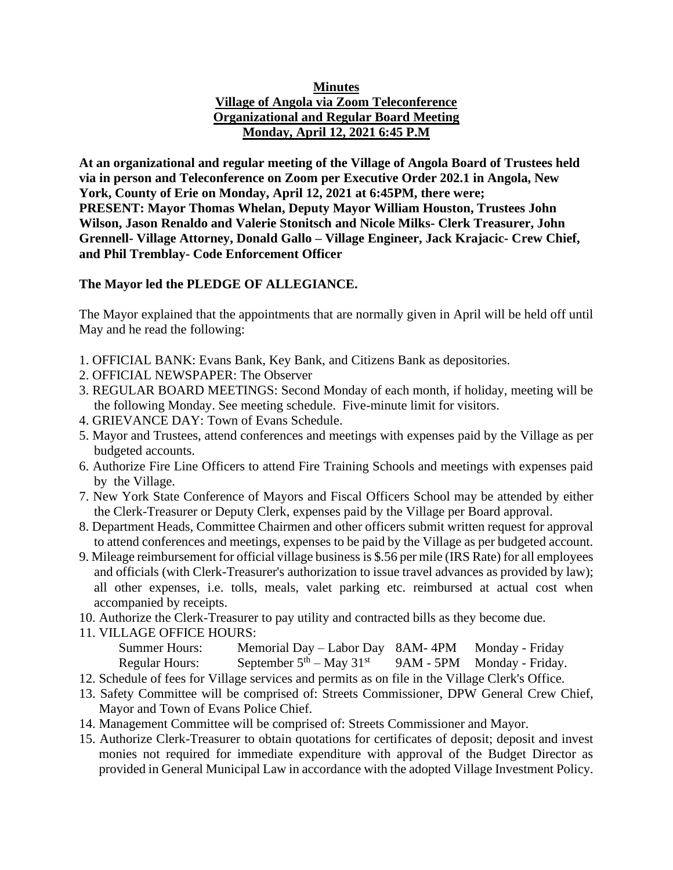### **Minutes Village of Angola via Zoom Teleconference Organizational and Regular Board Meeting Monday, April 12, 2021 6:45 P.M**

**At an organizational and regular meeting of the Village of Angola Board of Trustees held via in person and Teleconference on Zoom per Executive Order 202.1 in Angola, New York, County of Erie on Monday, April 12, 2021 at 6:45PM, there were; PRESENT: Mayor Thomas Whelan, Deputy Mayor William Houston, Trustees John Wilson, Jason Renaldo and Valerie Stonitsch and Nicole Milks- Clerk Treasurer, John Grennell- Village Attorney, Donald Gallo – Village Engineer, Jack Krajacic- Crew Chief, and Phil Tremblay- Code Enforcement Officer**

## **The Mayor led the PLEDGE OF ALLEGIANCE.**

The Mayor explained that the appointments that are normally given in April will be held off until May and he read the following:

- 1. OFFICIAL BANK: Evans Bank, Key Bank, and Citizens Bank as depositories.
- 2. OFFICIAL NEWSPAPER: The Observer
- 3. REGULAR BOARD MEETINGS: Second Monday of each month, if holiday, meeting will be the following Monday. See meeting schedule. Five-minute limit for visitors.
- 4. GRIEVANCE DAY: Town of Evans Schedule.
- 5. Mayor and Trustees, attend conferences and meetings with expenses paid by the Village as per budgeted accounts.
- 6. Authorize Fire Line Officers to attend Fire Training Schools and meetings with expenses paid by the Village.
- 7. New York State Conference of Mayors and Fiscal Officers School may be attended by either the Clerk-Treasurer or Deputy Clerk, expenses paid by the Village per Board approval.
- 8. Department Heads, Committee Chairmen and other officers submit written request for approval to attend conferences and meetings, expenses to be paid by the Village as per budgeted account.
- 9. Mileage reimbursement for official village business is \$.56 per mile (IRS Rate) for all employees and officials (with Clerk-Treasurer's authorization to issue travel advances as provided by law); all other expenses, i.e. tolls, meals, valet parking etc. reimbursed at actual cost when accompanied by receipts.
- 10. Authorize the Clerk-Treasurer to pay utility and contracted bills as they become due.
- 11. VILLAGE OFFICE HOURS:

Summer Hours: Memorial Day – Labor Day 8AM- 4PM Monday - Friday Regular Hours: September  $5<sup>th</sup> - May 31<sup>st</sup>$ 9AM - 5PM Monday - Friday.

- 12. Schedule of fees for Village services and permits as on file in the Village Clerk's Office.
- 13. Safety Committee will be comprised of: Streets Commissioner, DPW General Crew Chief, Mayor and Town of Evans Police Chief.
- 14. Management Committee will be comprised of: Streets Commissioner and Mayor.
- 15. Authorize Clerk-Treasurer to obtain quotations for certificates of deposit; deposit and invest monies not required for immediate expenditure with approval of the Budget Director as provided in General Municipal Law in accordance with the adopted Village Investment Policy.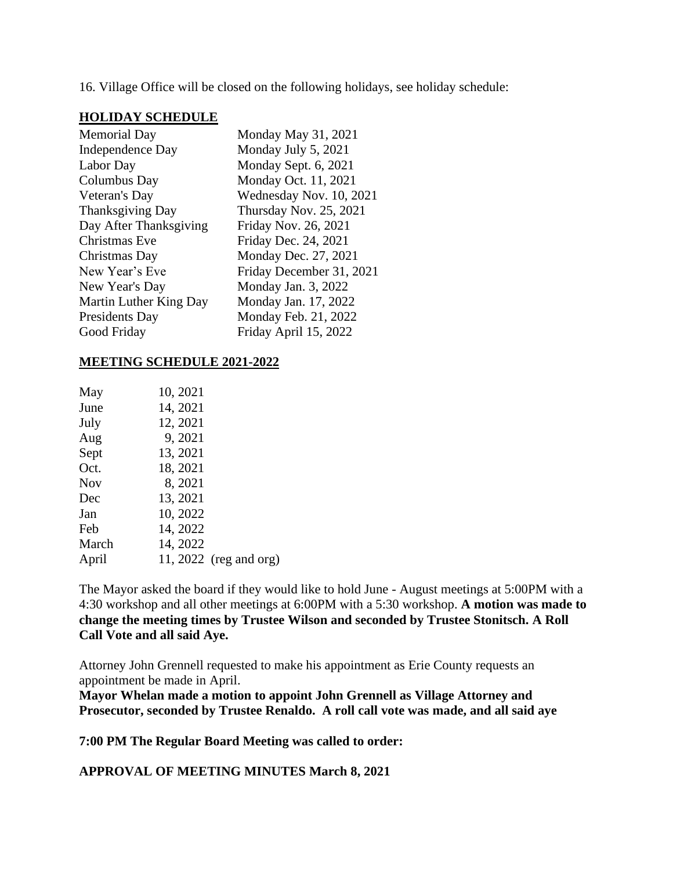16. Village Office will be closed on the following holidays, see holiday schedule:

#### **HOLIDAY SCHEDULE**

| <b>Memorial Day</b>     | Monday May 31, 2021      |
|-------------------------|--------------------------|
| Independence Day        | Monday July 5, 2021      |
| Labor Day               | Monday Sept. 6, 2021     |
| Columbus Day            | Monday Oct. 11, 2021     |
| Veteran's Day           | Wednesday Nov. 10, 2021  |
| <b>Thanksgiving Day</b> | Thursday Nov. 25, 2021   |
| Day After Thanksgiving  | Friday Nov. 26, 2021     |
| Christmas Eve           | Friday Dec. 24, 2021     |
| Christmas Day           | Monday Dec. 27, 2021     |
| New Year's Eve          | Friday December 31, 2021 |
| New Year's Day          | Monday Jan. 3, 2022      |
| Martin Luther King Day  | Monday Jan. 17, 2022     |
| Presidents Day          | Monday Feb. 21, 2022     |
| Good Friday             | Friday April 15, 2022    |

### **MEETING SCHEDULE 2021-2022**

| May        | 10, 2021 |                        |
|------------|----------|------------------------|
| June       | 14, 2021 |                        |
| July       | 12, 2021 |                        |
| Aug        | 9, 2021  |                        |
| Sept       | 13, 2021 |                        |
| Oct.       | 18, 2021 |                        |
| <b>Nov</b> | 8, 2021  |                        |
| Dec        | 13, 2021 |                        |
| Jan        | 10, 2022 |                        |
| Feb        | 14, 2022 |                        |
| March      | 14, 2022 |                        |
| April      |          | 11, 2022 (reg and org) |
|            |          |                        |

The Mayor asked the board if they would like to hold June - August meetings at 5:00PM with a 4:30 workshop and all other meetings at 6:00PM with a 5:30 workshop. **A motion was made to change the meeting times by Trustee Wilson and seconded by Trustee Stonitsch. A Roll Call Vote and all said Aye.**

Attorney John Grennell requested to make his appointment as Erie County requests an appointment be made in April.

**Mayor Whelan made a motion to appoint John Grennell as Village Attorney and Prosecutor, seconded by Trustee Renaldo. A roll call vote was made, and all said aye**

**7:00 PM The Regular Board Meeting was called to order:**

**APPROVAL OF MEETING MINUTES March 8, 2021**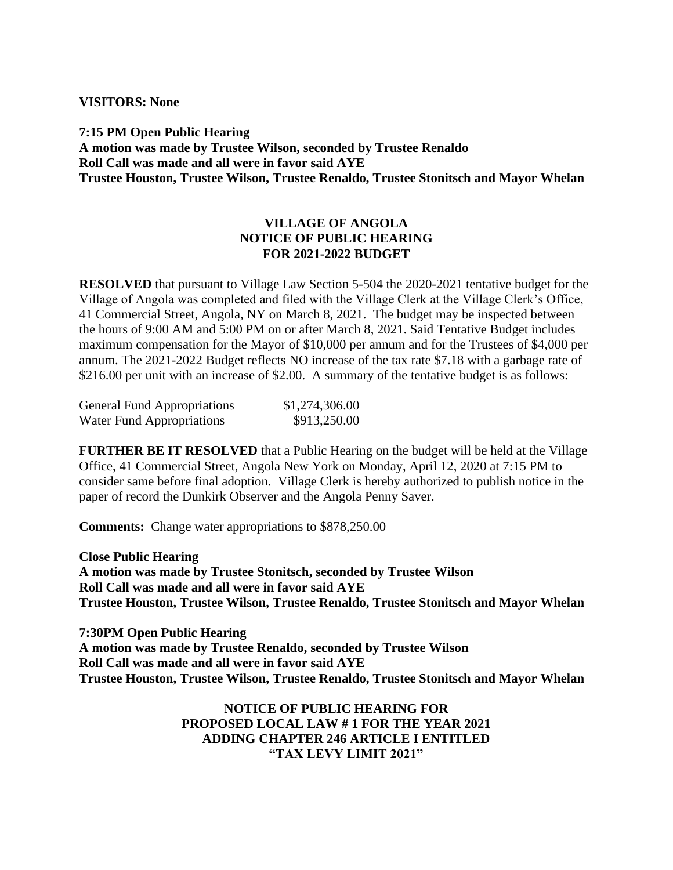**VISITORS: None**

**7:15 PM Open Public Hearing A motion was made by Trustee Wilson, seconded by Trustee Renaldo Roll Call was made and all were in favor said AYE Trustee Houston, Trustee Wilson, Trustee Renaldo, Trustee Stonitsch and Mayor Whelan**

### **VILLAGE OF ANGOLA NOTICE OF PUBLIC HEARING FOR 2021-2022 BUDGET**

**RESOLVED** that pursuant to Village Law Section 5-504 the 2020-2021 tentative budget for the Village of Angola was completed and filed with the Village Clerk at the Village Clerk's Office, 41 Commercial Street, Angola, NY on March 8, 2021. The budget may be inspected between the hours of 9:00 AM and 5:00 PM on or after March 8, 2021. Said Tentative Budget includes maximum compensation for the Mayor of \$10,000 per annum and for the Trustees of \$4,000 per annum. The 2021-2022 Budget reflects NO increase of the tax rate \$7.18 with a garbage rate of \$216.00 per unit with an increase of \$2.00. A summary of the tentative budget is as follows:

| <b>General Fund Appropriations</b> | \$1,274,306.00 |
|------------------------------------|----------------|
| Water Fund Appropriations          | \$913,250.00   |

**FURTHER BE IT RESOLVED** that a Public Hearing on the budget will be held at the Village Office, 41 Commercial Street, Angola New York on Monday, April 12, 2020 at 7:15 PM to consider same before final adoption. Village Clerk is hereby authorized to publish notice in the paper of record the Dunkirk Observer and the Angola Penny Saver.

**Comments:** Change water appropriations to \$878,250.00

**Close Public Hearing A motion was made by Trustee Stonitsch, seconded by Trustee Wilson Roll Call was made and all were in favor said AYE Trustee Houston, Trustee Wilson, Trustee Renaldo, Trustee Stonitsch and Mayor Whelan**

**7:30PM Open Public Hearing A motion was made by Trustee Renaldo, seconded by Trustee Wilson Roll Call was made and all were in favor said AYE Trustee Houston, Trustee Wilson, Trustee Renaldo, Trustee Stonitsch and Mayor Whelan**

> **NOTICE OF PUBLIC HEARING FOR PROPOSED LOCAL LAW # 1 FOR THE YEAR 2021 ADDING CHAPTER 246 ARTICLE I ENTITLED "TAX LEVY LIMIT 2021"**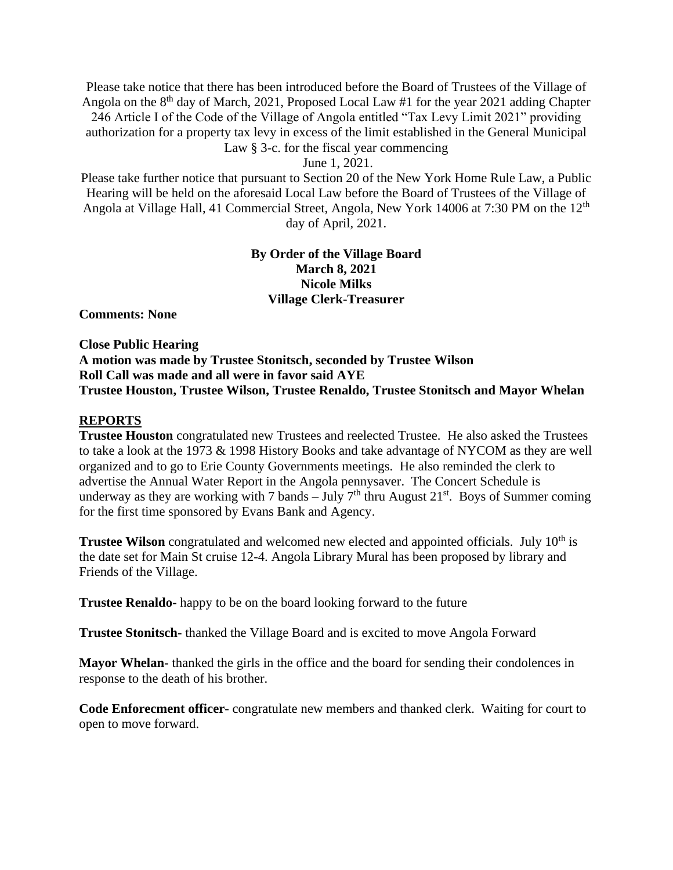Please take notice that there has been introduced before the Board of Trustees of the Village of Angola on the  $8<sup>th</sup>$  day of March, 2021, Proposed Local Law #1 for the year 2021 adding Chapter 246 Article I of the Code of the Village of Angola entitled "Tax Levy Limit 2021" providing authorization for a property tax levy in excess of the limit established in the General Municipal Law § 3-c. for the fiscal year commencing

June 1, 2021.

Please take further notice that pursuant to Section 20 of the New York Home Rule Law, a Public Hearing will be held on the aforesaid Local Law before the Board of Trustees of the Village of Angola at Village Hall, 41 Commercial Street, Angola, New York 14006 at 7:30 PM on the 12<sup>th</sup> day of April, 2021.

### **By Order of the Village Board March 8, 2021 Nicole Milks Village Clerk-Treasurer**

**Comments: None**

**Close Public Hearing A motion was made by Trustee Stonitsch, seconded by Trustee Wilson Roll Call was made and all were in favor said AYE Trustee Houston, Trustee Wilson, Trustee Renaldo, Trustee Stonitsch and Mayor Whelan**

#### **REPORTS**

**Trustee Houston** congratulated new Trustees and reelected Trustee. He also asked the Trustees to take a look at the 1973 & 1998 History Books and take advantage of NYCOM as they are well organized and to go to Erie County Governments meetings. He also reminded the clerk to advertise the Annual Water Report in the Angola pennysaver. The Concert Schedule is underway as they are working with 7 bands – July  $7<sup>th</sup>$  thru August 21<sup>st</sup>. Boys of Summer coming for the first time sponsored by Evans Bank and Agency.

**Trustee Wilson** congratulated and welcomed new elected and appointed officials. July 10<sup>th</sup> is the date set for Main St cruise 12-4. Angola Library Mural has been proposed by library and Friends of the Village.

**Trustee Renaldo-** happy to be on the board looking forward to the future

**Trustee Stonitsch-** thanked the Village Board and is excited to move Angola Forward

**Mayor Whelan-** thanked the girls in the office and the board for sending their condolences in response to the death of his brother.

**Code Enforecment officer**- congratulate new members and thanked clerk. Waiting for court to open to move forward.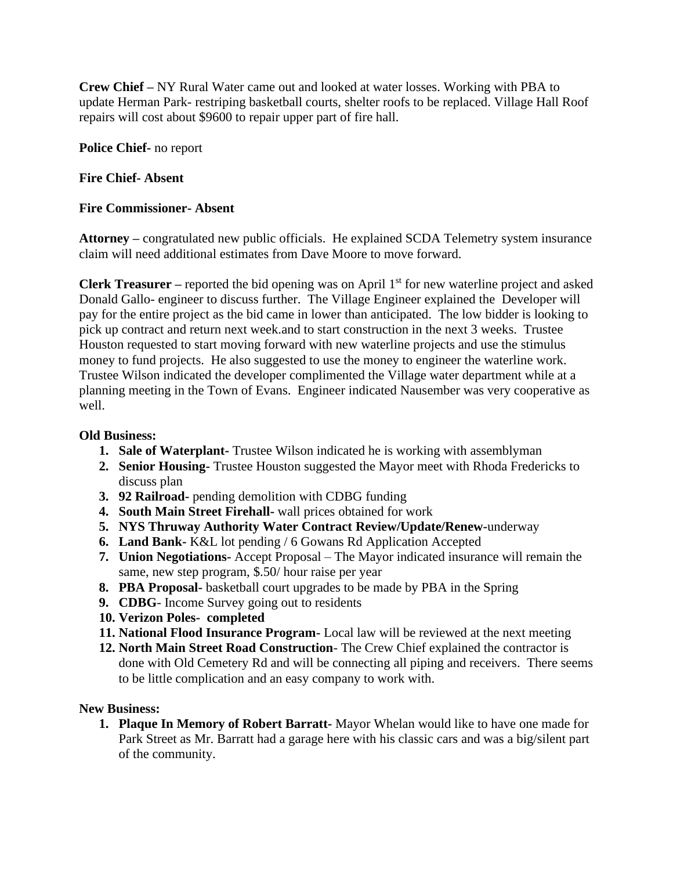**Crew Chief –** NY Rural Water came out and looked at water losses. Working with PBA to update Herman Park- restriping basketball courts, shelter roofs to be replaced. Village Hall Roof repairs will cost about \$9600 to repair upper part of fire hall.

**Police Chief-** no report

### **Fire Chief- Absent**

### **Fire Commissioner- Absent**

**Attorney –** congratulated new public officials. He explained SCDA Telemetry system insurance claim will need additional estimates from Dave Moore to move forward.

**Clerk Treasurer** – reported the bid opening was on April 1<sup>st</sup> for new waterline project and asked Donald Gallo- engineer to discuss further. The Village Engineer explained the Developer will pay for the entire project as the bid came in lower than anticipated. The low bidder is looking to pick up contract and return next week.and to start construction in the next 3 weeks. Trustee Houston requested to start moving forward with new waterline projects and use the stimulus money to fund projects. He also suggested to use the money to engineer the waterline work. Trustee Wilson indicated the developer complimented the Village water department while at a planning meeting in the Town of Evans. Engineer indicated Nausember was very cooperative as well.

### **Old Business:**

- **1. Sale of Waterplant-** Trustee Wilson indicated he is working with assemblyman
- **2. Senior Housing-** Trustee Houston suggested the Mayor meet with Rhoda Fredericks to discuss plan
- **3. 92 Railroad-** pending demolition with CDBG funding
- **4. South Main Street Firehall-** wall prices obtained for work
- **5. NYS Thruway Authority Water Contract Review/Update/Renew-**underway
- **6. Land Bank-** K&L lot pending / 6 Gowans Rd Application Accepted
- **7. Union Negotiations-** Accept Proposal The Mayor indicated insurance will remain the same, new step program, \$.50/ hour raise per year
- **8. PBA Proposal-** basketball court upgrades to be made by PBA in the Spring
- **9. CDBG** Income Survey going out to residents
- **10. Verizon Poles- completed**
- **11. National Flood Insurance Program-** Local law will be reviewed at the next meeting
- **12. North Main Street Road Construction** The Crew Chief explained the contractor is done with Old Cemetery Rd and will be connecting all piping and receivers. There seems to be little complication and an easy company to work with.

### **New Business:**

**1. Plaque In Memory of Robert Barratt-** Mayor Whelan would like to have one made for Park Street as Mr. Barratt had a garage here with his classic cars and was a big/silent part of the community.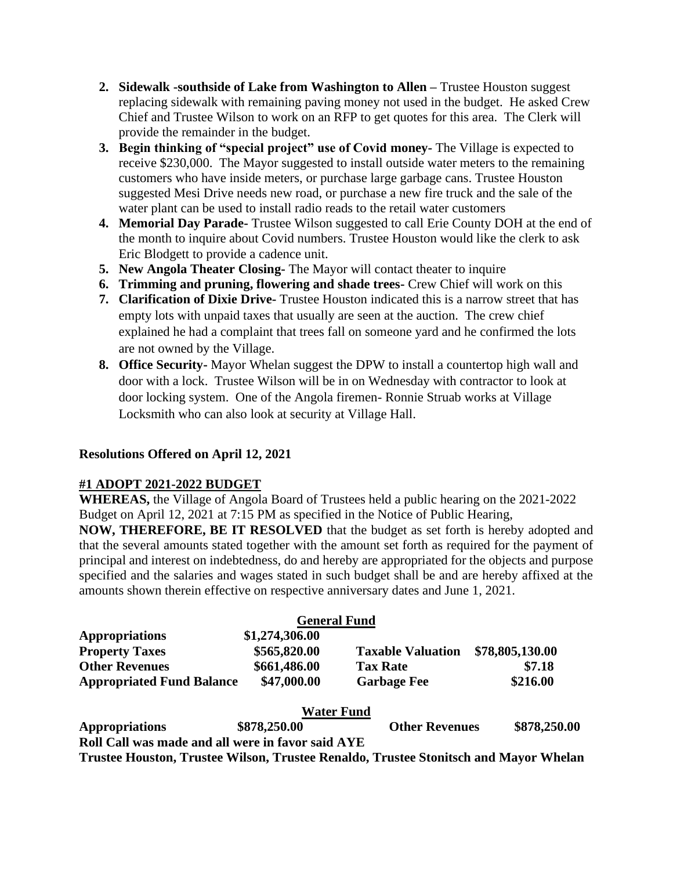- **2. Sidewalk -southside of Lake from Washington to Allen –** Trustee Houston suggest replacing sidewalk with remaining paving money not used in the budget. He asked Crew Chief and Trustee Wilson to work on an RFP to get quotes for this area. The Clerk will provide the remainder in the budget.
- **3. Begin thinking of "special project" use of Covid money-** The Village is expected to receive \$230,000. The Mayor suggested to install outside water meters to the remaining customers who have inside meters, or purchase large garbage cans. Trustee Houston suggested Mesi Drive needs new road, or purchase a new fire truck and the sale of the water plant can be used to install radio reads to the retail water customers
- **4. Memorial Day Parade-** Trustee Wilson suggested to call Erie County DOH at the end of the month to inquire about Covid numbers. Trustee Houston would like the clerk to ask Eric Blodgett to provide a cadence unit.
- **5. New Angola Theater Closing-** The Mayor will contact theater to inquire
- **6. Trimming and pruning, flowering and shade trees-** Crew Chief will work on this
- **7. Clarification of Dixie Drive-** Trustee Houston indicated this is a narrow street that has empty lots with unpaid taxes that usually are seen at the auction. The crew chief explained he had a complaint that trees fall on someone yard and he confirmed the lots are not owned by the Village.
- **8. Office Security-** Mayor Whelan suggest the DPW to install a countertop high wall and door with a lock. Trustee Wilson will be in on Wednesday with contractor to look at door locking system. One of the Angola firemen- Ronnie Struab works at Village Locksmith who can also look at security at Village Hall.

# **Resolutions Offered on April 12, 2021**

## **#1 ADOPT 2021-2022 BUDGET**

**WHEREAS,** the Village of Angola Board of Trustees held a public hearing on the 2021-2022 Budget on April 12, 2021 at 7:15 PM as specified in the Notice of Public Hearing,

**NOW, THEREFORE, BE IT RESOLVED** that the budget as set forth is hereby adopted and that the several amounts stated together with the amount set forth as required for the payment of principal and interest on indebtedness, do and hereby are appropriated for the objects and purpose specified and the salaries and wages stated in such budget shall be and are hereby affixed at the amounts shown therein effective on respective anniversary dates and June 1, 2021.

|                                                                                      | <b>General Fund</b> |                          |                 |
|--------------------------------------------------------------------------------------|---------------------|--------------------------|-----------------|
| <b>Appropriations</b>                                                                | \$1,274,306.00      |                          |                 |
| <b>Property Taxes</b>                                                                | \$565,820.00        | <b>Taxable Valuation</b> | \$78,805,130.00 |
| <b>Other Revenues</b>                                                                | \$661,486.00        | <b>Tax Rate</b>          | \$7.18          |
| <b>Appropriated Fund Balance</b>                                                     | \$47,000.00         | <b>Garbage Fee</b>       | \$216.00        |
|                                                                                      | <b>Water Fund</b>   |                          |                 |
| <b>Appropriations</b>                                                                | \$878,250.00        | <b>Other Revenues</b>    | \$878,250.00    |
| Roll Call was made and all were in favor said AYE                                    |                     |                          |                 |
| Trustee Houston, Trustee Wilson, Trustee Renaldo, Trustee Stonitsch and Mayor Whelan |                     |                          |                 |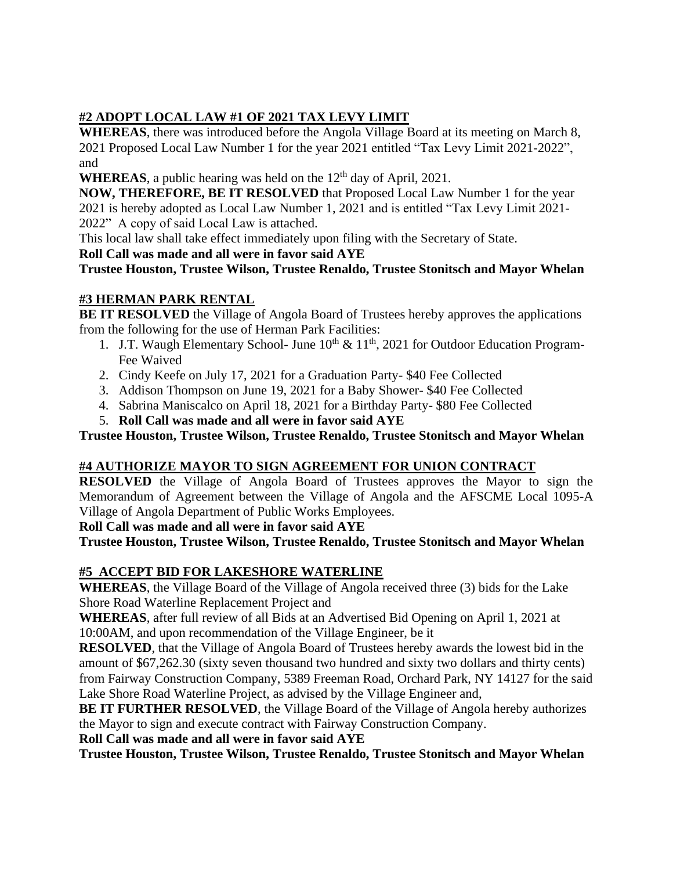# **#2 ADOPT LOCAL LAW #1 OF 2021 TAX LEVY LIMIT**

**WHEREAS**, there was introduced before the Angola Village Board at its meeting on March 8, 2021 Proposed Local Law Number 1 for the year 2021 entitled "Tax Levy Limit 2021-2022", and

**WHEREAS**, a public hearing was held on the  $12<sup>th</sup>$  day of April, 2021.

**NOW, THEREFORE, BE IT RESOLVED** that Proposed Local Law Number 1 for the year 2021 is hereby adopted as Local Law Number 1, 2021 and is entitled "Tax Levy Limit 2021- 2022" A copy of said Local Law is attached.

This local law shall take effect immediately upon filing with the Secretary of State.

**Roll Call was made and all were in favor said AYE**

**Trustee Houston, Trustee Wilson, Trustee Renaldo, Trustee Stonitsch and Mayor Whelan**

# **#3 HERMAN PARK RENTAL**

**BE IT RESOLVED** the Village of Angola Board of Trustees hereby approves the applications from the following for the use of Herman Park Facilities:

- 1. J.T. Waugh Elementary School- June  $10^{th} \& 11^{th}$ , 2021 for Outdoor Education Program-Fee Waived
- 2. Cindy Keefe on July 17, 2021 for a Graduation Party- \$40 Fee Collected
- 3. Addison Thompson on June 19, 2021 for a Baby Shower- \$40 Fee Collected
- 4. Sabrina Maniscalco on April 18, 2021 for a Birthday Party- \$80 Fee Collected
- 5. **Roll Call was made and all were in favor said AYE**

**Trustee Houston, Trustee Wilson, Trustee Renaldo, Trustee Stonitsch and Mayor Whelan**

# **#4 AUTHORIZE MAYOR TO SIGN AGREEMENT FOR UNION CONTRACT**

**RESOLVED** the Village of Angola Board of Trustees approves the Mayor to sign the Memorandum of Agreement between the Village of Angola and the AFSCME Local 1095-A Village of Angola Department of Public Works Employees.

**Roll Call was made and all were in favor said AYE**

**Trustee Houston, Trustee Wilson, Trustee Renaldo, Trustee Stonitsch and Mayor Whelan**

# **#5 ACCEPT BID FOR LAKESHORE WATERLINE**

**WHEREAS**, the Village Board of the Village of Angola received three (3) bids for the Lake Shore Road Waterline Replacement Project and

**WHEREAS**, after full review of all Bids at an Advertised Bid Opening on April 1, 2021 at 10:00AM, and upon recommendation of the Village Engineer, be it

**RESOLVED**, that the Village of Angola Board of Trustees hereby awards the lowest bid in the amount of \$67,262.30 (sixty seven thousand two hundred and sixty two dollars and thirty cents) from Fairway Construction Company, 5389 Freeman Road, Orchard Park, NY 14127 for the said Lake Shore Road Waterline Project, as advised by the Village Engineer and,

**BE IT FURTHER RESOLVED**, the Village Board of the Village of Angola hereby authorizes the Mayor to sign and execute contract with Fairway Construction Company.

**Roll Call was made and all were in favor said AYE**

**Trustee Houston, Trustee Wilson, Trustee Renaldo, Trustee Stonitsch and Mayor Whelan**